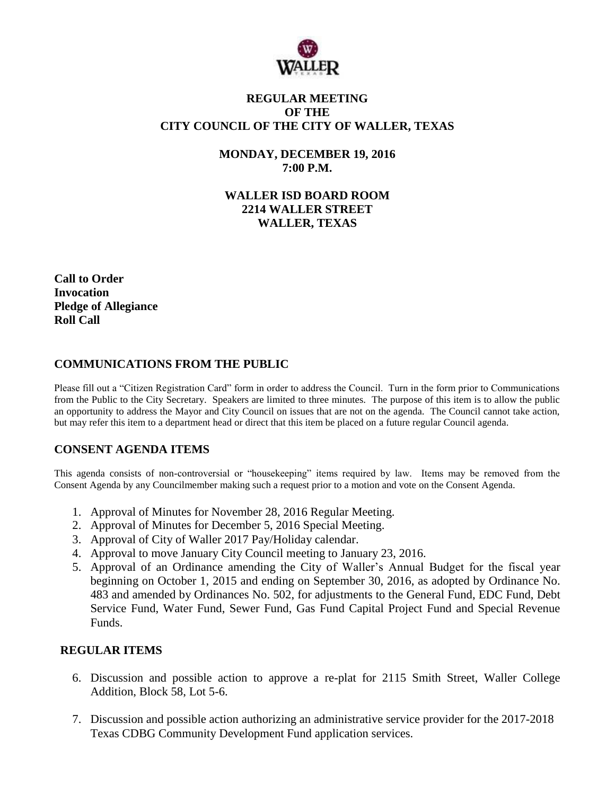

### **REGULAR MEETING OF THE CITY COUNCIL OF THE CITY OF WALLER, TEXAS**

**MONDAY, DECEMBER 19, 2016 7:00 P.M.**

**WALLER ISD BOARD ROOM 2214 WALLER STREET WALLER, TEXAS**

**Call to Order Invocation Pledge of Allegiance Roll Call**

# **COMMUNICATIONS FROM THE PUBLIC**

Please fill out a "Citizen Registration Card" form in order to address the Council. Turn in the form prior to Communications from the Public to the City Secretary. Speakers are limited to three minutes. The purpose of this item is to allow the public an opportunity to address the Mayor and City Council on issues that are not on the agenda. The Council cannot take action, but may refer this item to a department head or direct that this item be placed on a future regular Council agenda.

### **CONSENT AGENDA ITEMS**

This agenda consists of non-controversial or "housekeeping" items required by law. Items may be removed from the Consent Agenda by any Councilmember making such a request prior to a motion and vote on the Consent Agenda.

- 1. Approval of Minutes for November 28, 2016 Regular Meeting.
- 2. Approval of Minutes for December 5, 2016 Special Meeting.
- 3. Approval of City of Waller 2017 Pay/Holiday calendar.
- 4. Approval to move January City Council meeting to January 23, 2016.
- 5. Approval of an Ordinance amending the City of Waller's Annual Budget for the fiscal year beginning on October 1, 2015 and ending on September 30, 2016, as adopted by Ordinance No. 483 and amended by Ordinances No. 502, for adjustments to the General Fund, EDC Fund, Debt Service Fund, Water Fund, Sewer Fund, Gas Fund Capital Project Fund and Special Revenue Funds.

### **REGULAR ITEMS**

- 6. Discussion and possible action to approve a re-plat for 2115 Smith Street, Waller College Addition, Block 58, Lot 5-6.
- 7. Discussion and possible action authorizing an administrative service provider for the 2017-2018 Texas CDBG Community Development Fund application services.